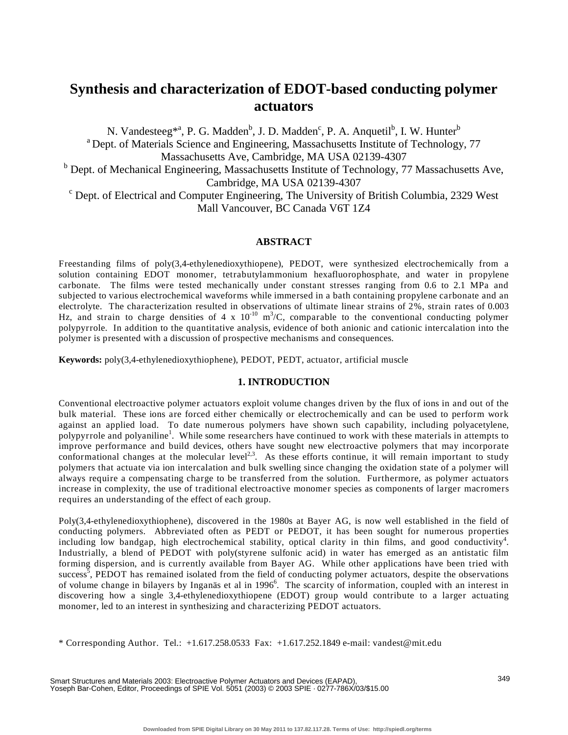# **Synthesis and characterization of EDOT-based conducting polymer actuators**

N. Vandesteeg<sup>\*a</sup>, P. G. Madden<sup>b</sup>, J. D. Madden<sup>c</sup>, P. A. Anquetil<sup>b</sup>, I. W. Hunter<sup>b</sup> <sup>a</sup> Dept. of Materials Science and Engineering, Massachusetts Institute of Technology, 77 Massachusetts Ave, Cambridge, MA USA 02139-4307 <sup>b</sup> Dept. of Mechanical Engineering, Massachusetts Institute of Technology, 77 Massachusetts Ave, Cambridge, MA USA 02139-4307<br><sup>c</sup> Dept. of Electrical and Computer Engineering, The University of British Columbia, 2329 West Mall Vancouver, BC Canada V6T 1Z4

# **ABSTRACT**

Freestanding films of poly(3,4-ethylenedioxythiopene), PEDOT, were synthesized electrochemically from a solution containing EDOT monomer, tetrabutylammonium hexafluorophosphate, and water in propylene carbonate. The films were tested mechanically under constant stresses ranging from 0.6 to 2.1 MPa and subjected to various electrochemical waveforms while immersed in a bath containing propylene carbonate and an electrolyte. The characterization resulted in observations of ultimate linear strains of 2%, strain rates of 0.003 Hz, and strain to charge densities of 4 x  $10^{-10}$  m<sup>3</sup>/C, comparable to the conventional conducting polymer polypyrrole. In addition to the quantitative analysis, evidence of both anionic and cationic intercalation into the polymer is presented with a discussion of prospective mechanisms and consequences.

**Keywords:** poly(3,4-ethylenedioxythiophene), PEDOT, PEDT, actuator, artificial muscle

# **1. INTRODUCTION**

Conventional electroactive polymer actuators exploit volume changes driven by the flux of ions in and out of the bulk material. These ions are forced either chemically or electrochemically and can be used to perform work against an applied load. To date numerous polymers have shown such capability, including polyacetylene, polypyrrole and polyaniline<sup>1</sup>. While some researchers have continued to work with these materials in attempts to improve performance and build devices, others have sought new electroactive polymers that may incorporate conformational changes at the molecular level<sup>2,3</sup>. As these efforts continue, it will remain important to study conformational changes at the molecular level<sup>2,3</sup>. polymers that actuate via ion intercalation and bulk swelling since changing the oxidation state of a polymer will always require a compensating charge to be transferred from the solution. Furthermore, as polymer actuators increase in complexity, the use of traditional electroactive monomer species as components of larger macromers requires an understanding of the effect of each group.

Poly(3,4-ethylenedioxythiophene), discovered in the 1980s at Bayer AG, is now well established in the field of conducting polymers. Abbreviated often as PEDT or PEDOT, it has been sought for numerous properties including low bandgap, high electrochemical stability, optical clarity in thin films, and good conductivity<sup>4</sup>. Industrially, a blend of PEDOT with poly(styrene sulfonic acid) in water has emerged as an antistatic film forming dispersion, and is currently available from Bayer AG. While other applications have been tried with success<sup>5</sup>, PEDOT has remained isolated from the field of conducting polymer actuators, despite the observations of volume change in bilayers by Inganäs et al in 1996<sup>6</sup>. The scarcity of information, coupled with an interest in discovering how a single 3,4-ethylenedioxythiopene (EDOT) group would contribute to a larger actuating monomer, led to an interest in synthesizing and characterizing PEDOT actuators.

\* Corresponding Author. Tel.: +1.617.258.0533 Fax: +1.617.252.1849 e-mail: vandest@mit.edu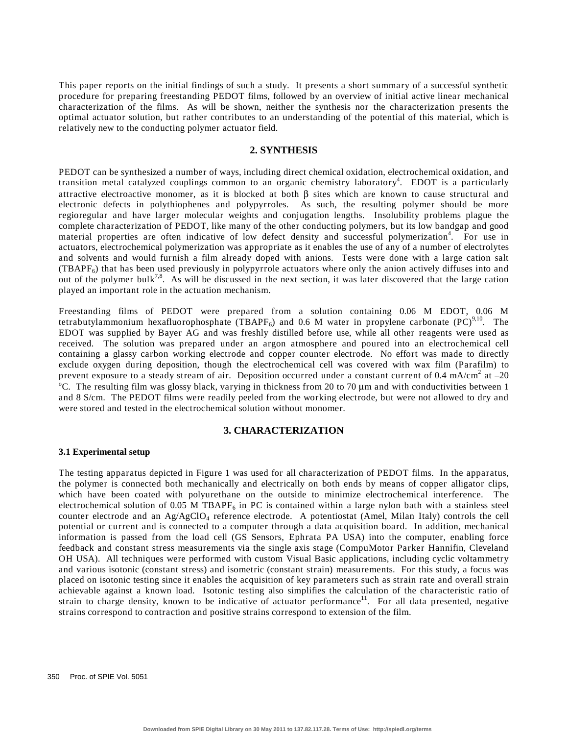This paper reports on the initial findings of such a study. It presents a short summary of a successful synthetic procedure for preparing freestanding PEDOT films, followed by an overview of initial active linear mechanical characterization of the films. As will be shown, neither the synthesis nor the characterization presents the optimal actuator solution, but rather contributes to an understanding of the potential of this material, which is relatively new to the conducting polymer actuator field.

# **2. SYNTHESIS**

PEDOT can be synthesized a number of ways, including direct chemical oxidation, electrochemical oxidation, and transition metal catalyzed couplings common to an organic chemistry laboratory<sup>4</sup>. EDOT is a particularly attractive electroactive monomer, as it is blocked at both β sites which are known to cause structural and electronic defects in polythiophenes and polypyrroles. As such, the resulting polymer should be more regioregular and have larger molecular weights and conjugation lengths. Insolubility problems plague the complete characterization of PEDOT, like many of the other conducting polymers, but its low bandgap and good material properties are often indicative of low defect density and successful polymerization<sup>4</sup>. For use in actuators, electrochemical polymerization was appropriate as it enables the use of any of a number of electrolytes and solvents and would furnish a film already doped with anions. Tests were done with a large cation salt (TBAPF<sub>6</sub>) that has been used previously in polypyrrole actuators where only the anion actively diffuses into and out of the polymer bulk<sup>7,8</sup>. As will be discussed in the next section, it was later discovered that the large cation played an important role in the actuation mechanism.

Freestanding films of PEDOT were prepared from a solution containing 0.06 M EDOT, 0.06 M tetrabutylammonium hexafluorophosphate (TBAPF<sub>6</sub>) and 0.6 M water in propylene carbonate (PC)<sup>9,10</sup>. The EDOT was supplied by Bayer AG and was freshly distilled before use, while all other reagents were used as received. The solution was prepared under an argon atmosphere and poured into an electrochemical cell containing a glassy carbon working electrode and copper counter electrode. No effort was made to directly exclude oxygen during deposition, though the electrochemical cell was covered with wax film (Parafilm) to prevent exposure to a steady stream of air. Deposition occurred under a constant current of 0.4 mA/cm<sup>2</sup> at  $-20$ <br><sup>o</sup>C. The resulting film was glossy black, verying in thickness from 20 to 70 um and with conductivities be <sup>o</sup>C. The resulting film was glossy black, varying in thickness from 20 to 70  $\mu$ m and with conductivities between 1 and 8 S/cm. The PEDOT films were readily peeled from the working electrode, but were not allowed to dry and were stored and tested in the electrochemical solution without monomer.

## **3. CHARACTERIZATION**

#### **3.1 Experimental setup**

The testing apparatus depicted in Figure 1 was used for all characterization of PEDOT films. In the apparatus, the polymer is connected both mechanically and electrically on both ends by means of copper alligator clips, which have been coated with polyurethane on the outside to minimize electrochemical interference. The electrochemical solution of 0.05 M TBAPF $_6$  in PC is contained within a large nylon bath with a stainless steel counter electrode and an Ag/AgClO<sub>4</sub> reference electrode. A potentiostat (Amel, Milan Italy) controls the cell potential or current and is connected to a computer through a data acquisition board. In addition, mechanical information is passed from the load cell (GS Sensors, Ephrata PA USA) into the computer, enabling force feedback and constant stress measurements via the single axis stage (CompuMotor Parker Hannifin, Cleveland OH USA). All techniques were performed with custom Visual Basic applications, including cyclic voltammetry and various isotonic (constant stress) and isometric (constant strain) measurements. For this study, a focus was placed on isotonic testing since it enables the acquisition of key parameters such as strain rate and overall strain achievable against a known load. Isotonic testing also simplifies the calculation of the characteristic ratio of strain to charge density, known to be indicative of actuator performance<sup>11</sup>. For all data presented, negative strains correspond to contraction and positive strains correspond to extension of the film.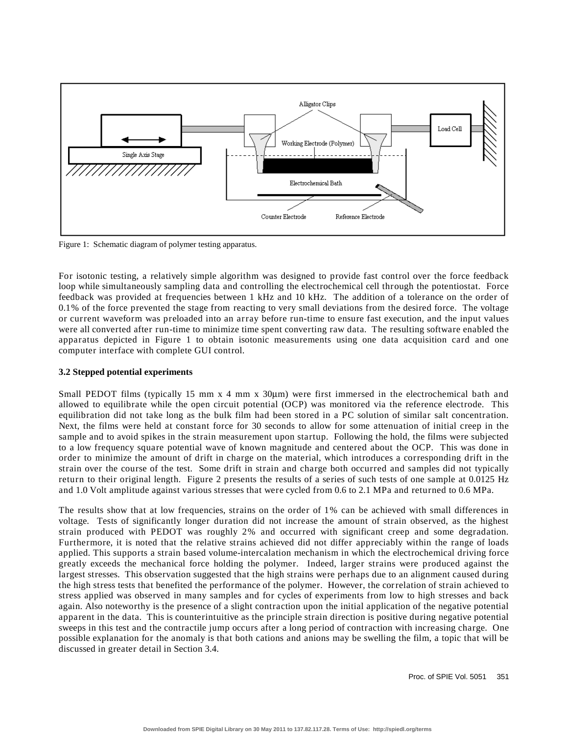

Figure 1: Schematic diagram of polymer testing apparatus.

For isotonic testing, a relatively simple algorithm was designed to provide fast control over the force feedback loop while simultaneously sampling data and controlling the electrochemical cell through the potentiostat. Force feedback was provided at frequencies between 1 kHz and 10 kHz. The addition of a tolerance on the order of 0.1% of the force prevented the stage from reacting to very small deviations from the desired force. The voltage or current waveform was preloaded into an array before run-time to ensure fast execution, and the input values were all converted after run-time to minimize time spent converting raw data. The resulting software enabled the apparatus depicted in Figure 1 to obtain isotonic measurements using one data acquisition card and one computer interface with complete GUI control.

## **3.2 Stepped potential experiments**

Small PEDOT films (typically 15 mm  $x/4$  mm  $x/30\mu m$ ) were first immersed in the electrochemical bath and allowed to equilibrate while the open circuit potential (OCP) was monitored via the reference electrode. This equilibration did not take long as the bulk film had been stored in a PC solution of similar salt concentration. Next, the films were held at constant force for 30 seconds to allow for some attenuation of initial creep in the sample and to avoid spikes in the strain measurement upon startup. Following the hold, the films were subjected to a low frequency square potential wave of known magnitude and centered about the OCP. This was done in order to minimize the amount of drift in charge on the material, which introduces a corresponding drift in the strain over the course of the test. Some drift in strain and charge both occurred and samples did not typically return to their original length. Figure 2 presents the results of a series of such tests of one sample at 0.0125 Hz and 1.0 Volt amplitude against various stresses that were cycled from 0.6 to 2.1 MPa and returned to 0.6 MPa.

The results show that at low frequencies, strains on the order of 1% can be achieved with small differences in voltage. Tests of significantly longer duration did not increase the amount of strain observed, as the highest strain produced with PEDOT was roughly 2% and occurred with significant creep and some degradation. Furthermore, it is noted that the relative strains achieved did not differ appreciably within the range of loads applied. This supports a strain based volume-intercalation mechanism in which the electrochemical driving force greatly exceeds the mechanical force holding the polymer. Indeed, larger strains were produced against the largest stresses. This observation suggested that the high strains were perhaps due to an alignment caused during the high stress tests that benefited the performance of the polymer. However, the correlation of strain achieved to stress applied was observed in many samples and for cycles of experiments from low to high stresses and back again. Also noteworthy is the presence of a slight contraction upon the initial application of the negative potential apparent in the data. This is counterintuitive as the principle strain direction is positive during negative potential sweeps in this test and the contractile jump occurs after a long period of contraction with increasing charge. One possible explanation for the anomaly is that both cations and anions may be swelling the film, a topic that will be discussed in greater detail in Section 3.4.

Proc. of SPIE Vol. 5051 351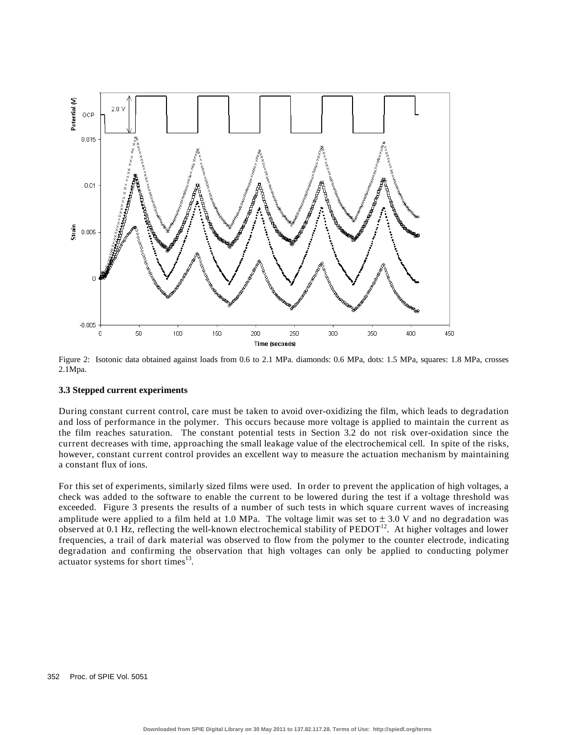

Figure 2: Isotonic data obtained against loads from 0.6 to 2.1 MPa. diamonds: 0.6 MPa, dots: 1.5 MPa, squares: 1.8 MPa, crosses 2.1Mpa.

#### **3.3 Stepped current experiments**

During constant current control, care must be taken to avoid over-oxidizing the film, which leads to degradation and loss of performance in the polymer. This occurs because more voltage is applied to maintain the current as the film reaches saturation. The constant potential tests in Section 3.2 do not risk over-oxidation since the current decreases with time, approaching the small leakage value of the electrochemical cell. In spite of the risks, however, constant current control provides an excellent way to measure the actuation mechanism by maintaining a constant flux of ions.

For this set of experiments, similarly sized films were used. In order to prevent the application of high voltages, a check was added to the software to enable the current to be lowered during the test if a voltage threshold was exceeded. Figure 3 presents the results of a number of such tests in which square current waves of increasing amplitude were applied to a film held at 1.0 MPa. The voltage limit was set to  $\pm$  3.0 V and no degradation was observed at 0.1 Hz, reflecting the well-known electrochemical stability of PEDOT<sup>12</sup>. At higher voltages and lower frequencies, a trail of dark material was observed to flow from the polymer to the counter electrode, indicating degradation and confirming the observation that high voltages can only be applied to conducting polymer actuator systems for short times $^{13}$ .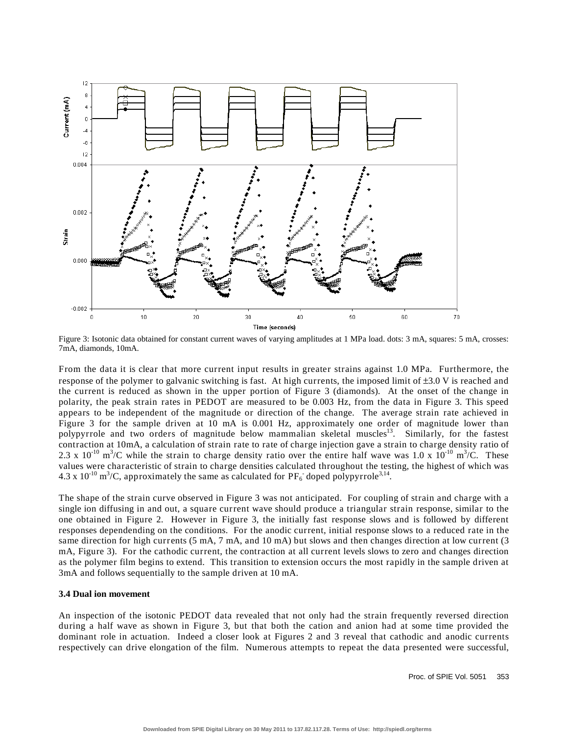

Figure 3: Isotonic data obtained for constant current waves of varying amplitudes at 1 MPa load. dots: 3 mA, squares: 5 mA, crosses: 7mA, diamonds, 10mA.

From the data it is clear that more current input results in greater strains against 1.0 MPa. Furthermore, the response of the polymer to galvanic switching is fast. At high currents, the imposed limit of  $\pm 3.0$  V is reached and the current is reduced as shown in the upper portion of Figure 3 (diamonds). At the onset of the change in polarity, the peak strain rates in PEDOT are measured to be 0.003 Hz, from the data in Figure 3. This speed appears to be independent of the magnitude or direction of the change. The average strain rate achieved in Figure 3 for the sample driven at 10 mA is 0.001 Hz, approximately one order of magnitude lower than polypyrrole and two orders of magnitude below mammalian skeletal muscles<sup>13</sup>. Similarly, for the fastest contraction at 10mA, a calculation of strain rate to rate of charge injection gave a strain to charge density ratio of 2.3 x 10<sup>-10</sup> m<sup>3</sup>/C while the strain to charge density ratio over the entire half wave was 1.0 x 10<sup>-10</sup> m<sup>3</sup>/C. These values were characteristic of strain to charge densities calculated throughout the testing, the highest of which was 4.3 x 10<sup>-10</sup> m<sup>3</sup>/C, approximately the same as calculated for  $PF_6$  doped polypyrrole<sup>3,14</sup>.

The shape of the strain curve observed in Figure 3 was not anticipated. For coupling of strain and charge with a single ion diffusing in and out, a square current wave should produce a triangular strain response, similar to the one obtained in Figure 2. However in Figure 3, the initially fast response slows and is followed by different responses dependending on the conditions. For the anodic current, initial response slows to a reduced rate in the same direction for high currents (5 mA, 7 mA, and 10 mA) but slows and then changes direction at low current (3 mA, Figure 3). For the cathodic current, the contraction at all current levels slows to zero and changes direction as the polymer film begins to extend. This transition to extension occurs the most rapidly in the sample driven at 3mA and follows sequentially to the sample driven at 10 mA.

## **3.4 Dual ion movement**

An inspection of the isotonic PEDOT data revealed that not only had the strain frequently reversed direction during a half wave as shown in Figure 3, but that both the cation and anion had at some time provided the dominant role in actuation. Indeed a closer look at Figures 2 and 3 reveal that cathodic and anodic currents respectively can drive elongation of the film. Numerous attempts to repeat the data presented were successful,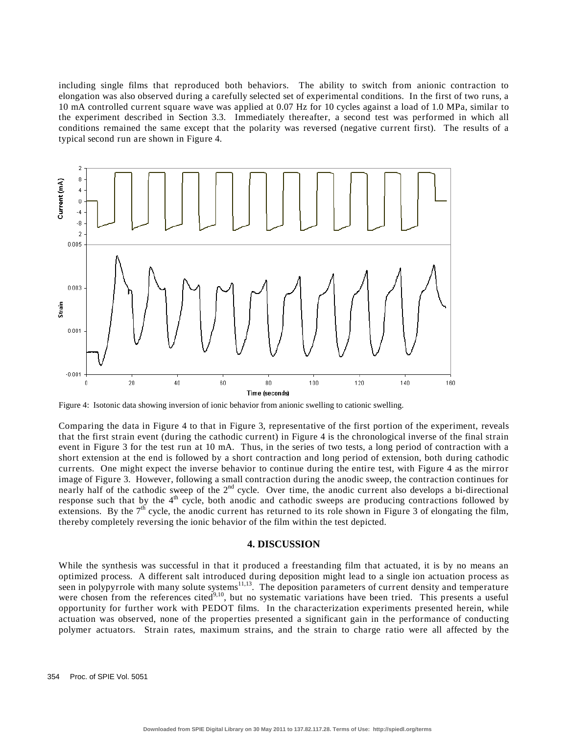including single films that reproduced both behaviors. The ability to switch from anionic contraction to elongation was also observed during a carefully selected set of experimental conditions. In the first of two runs, a 10 mA controlled current square wave was applied at 0.07 Hz for 10 cycles against a load of 1.0 MPa, similar to the experiment described in Section 3.3. Immediately thereafter, a second test was performed in which all conditions remained the same except that the polarity was reversed (negative current first). The results of a typical second run are shown in Figure 4.



Figure 4: Isotonic data showing inversion of ionic behavior from anionic swelling to cationic swelling.

Comparing the data in Figure 4 to that in Figure 3, representative of the first portion of the experiment, reveals that the first strain event (during the cathodic current) in Figure 4 is the chronological inverse of the final strain event in Figure 3 for the test run at 10 mA. Thus, in the series of two tests, a long period of contraction with a short extension at the end is followed by a short contraction and long period of extension, both during cathodic currents. One might expect the inverse behavior to continue during the entire test, with Figure 4 as the mirror image of Figure 3. However, following a small contraction during the anodic sweep, the contraction continues for nearly half of the cathodic sweep of the 2<sup>nd</sup> cycle. Over time, the anodic current also develops a bi-directional response such that by the 4<sup>th</sup> cycle, both anodic and cathodic sweeps are producing contractions followed by extensions. By the  $7<sup>th</sup>$  cycle, the anodic current has returned to its role shown in Figure 3 of elongating the film, thereby completely reversing the ionic behavior of the film within the test depicted.

#### **4. DISCUSSION**

While the synthesis was successful in that it produced a freestanding film that actuated, it is by no means an optimized process. A different salt introduced during deposition might lead to a single ion actuation process as seen in polypyrrole with many solute systems<sup>11,13</sup>. The deposition parameters of current density and temperature were chosen from the references cited<sup>9,10</sup>, but no systematic variations have been tried. This presents a useful opportunity for further work with PEDOT films. In the characterization experiments presented herein, while actuation was observed, none of the properties presented a significant gain in the performance of conducting polymer actuators. Strain rates, maximum strains, and the strain to charge ratio were all affected by the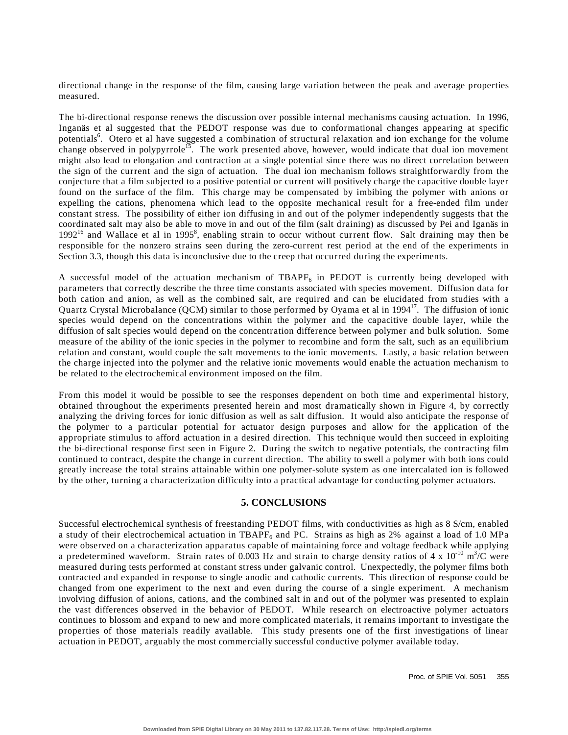directional change in the response of the film, causing large variation between the peak and average properties measured.

The bi-directional response renews the discussion over possible internal mechanisms causing actuation. In 1996, Inganäs et al suggested that the PEDOT response was due to conformational changes appearing at specific potentials<sup>6</sup>. Otero et al have suggested a combination of structural relaxation and ion exchange for the volume change observed in polypyrrole<sup>15</sup>. The work presented above, however, would indicate that dual ion movement might also lead to elongation and contraction at a single potential since there was no direct correlation between the sign of the current and the sign of actuation. The dual ion mechanism follows straightforwardly from the conjecture that a film subjected to a positive potential or current will positively charge the capacitive double layer found on the surface of the film. This charge may be compensated by imbibing the polymer with anions or expelling the cations, phenomena which lead to the opposite mechanical result for a free-ended film under constant stress. The possibility of either ion diffusing in and out of the polymer independently suggests that the coordinated salt may also be able to move in and out of the film (salt draining) as discussed by Pei and Iganäs in 1992<sup>16</sup> and Wallace et al in 1995<sup>8</sup>, enabling strain to occur without current flow. Salt draining may then be responsible for the nonzero strains seen during the zero-current rest period at the end of the experiments in Section 3.3, though this data is inconclusive due to the creep that occurred during the experiments.

A successful model of the actuation mechanism of TBAPF<sub>6</sub> in PEDOT is currently being developed with parameters that correctly describe the three time constants associated with species movement. Diffusion data for both cation and anion, as well as the combined salt, are required and can be elucidated from studies with a Quartz Crystal Microbalance (QCM) similar to those performed by Oyama et al in  $1994<sup>17</sup>$ . The diffusion of ionic species would depend on the concentrations within the polymer and the capacitive double layer, while the diffusion of salt species would depend on the concentration difference between polymer and bulk solution. Some measure of the ability of the ionic species in the polymer to recombine and form the salt, such as an equilibrium relation and constant, would couple the salt movements to the ionic movements. Lastly, a basic relation between the charge injected into the polymer and the relative ionic movements would enable the actuation mechanism to be related to the electrochemical environment imposed on the film.

From this model it would be possible to see the responses dependent on both time and experimental history, obtained throughout the experiments presented herein and most dramatically shown in Figure 4, by correctly analyzing the driving forces for ionic diffusion as well as salt diffusion. It would also anticipate the response of the polymer to a particular potential for actuator design purposes and allow for the application of the appropriate stimulus to afford actuation in a desired direction. This technique would then succeed in exploiting the bi-directional response first seen in Figure 2. During the switch to negative potentials, the contracting film continued to contract, despite the change in current direction. The ability to swell a polymer with both ions could greatly increase the total strains attainable within one polymer-solute system as one intercalated ion is followed by the other, turning a characterization difficulty into a practical advantage for conducting polymer actuators.

# **5. CONCLUSIONS**

Successful electrochemical synthesis of freestanding PEDOT films, with conductivities as high as 8 S/cm, enabled a study of their electrochemical actuation in TBAPF $_6$  and PC. Strains as high as 2% against a load of 1.0 MPa were observed on a characterization apparatus capable of maintaining force and voltage feedback while applying a predetermined waveform. Strain rates of 0.003 Hz and strain to charge density ratios of 4 x  $10^{-10}$  m<sup>3</sup>/C were measured during tests performed at constant stress under galvanic control. Unexpectedly, the polymer films both contracted and expanded in response to single anodic and cathodic currents. This direction of response could be changed from one experiment to the next and even during the course of a single experiment. A mechanism involving diffusion of anions, cations, and the combined salt in and out of the polymer was presented to explain the vast differences observed in the behavior of PEDOT. While research on electroactive polymer actuators continues to blossom and expand to new and more complicated materials, it remains important to investigate the properties of those materials readily available. This study presents one of the first investigations of linear actuation in PEDOT, arguably the most commercially successful conductive polymer available today.